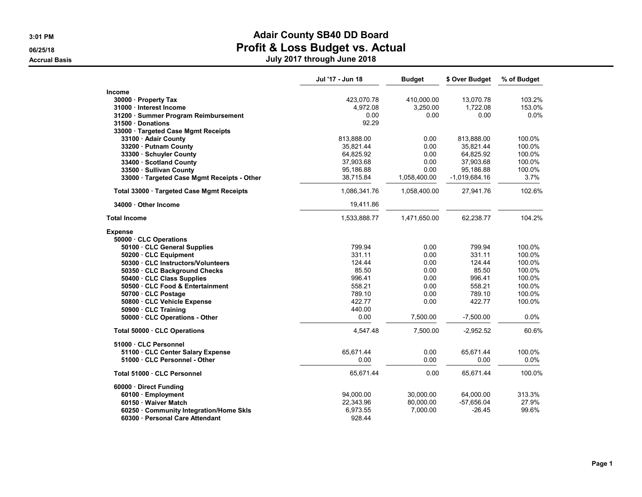|                                             | Jul '17 - Jun 18 | <b>Budget</b> | \$ Over Budget  | % of Budget |
|---------------------------------------------|------------------|---------------|-----------------|-------------|
| <b>Income</b>                               |                  |               |                 |             |
| 30000 · Property Tax                        | 423,070.78       | 410,000.00    | 13,070.78       | 103.2%      |
| 31000 · Interest Income                     | 4.972.08         | 3.250.00      | 1.722.08        | 153.0%      |
| 31200 · Summer Program Reimbursement        | 0.00             | 0.00          | 0.00            | 0.0%        |
| 31500 Donations                             | 92.29            |               |                 |             |
| 33000 · Targeted Case Mgmt Receipts         |                  |               |                 |             |
| 33100 · Adair County                        | 813,888.00       | 0.00          | 813,888.00      | 100.0%      |
| 33200 · Putnam County                       | 35.821.44        | 0.00          | 35.821.44       | 100.0%      |
| 33300 Schuyler County                       | 64,825.92        | 0.00          | 64.825.92       | 100.0%      |
| 33400 · Scotland County                     | 37,903.68        | 0.00          | 37,903.68       | 100.0%      |
| 33500 · Sullivan County                     | 95,186.88        | 0.00          | 95,186.88       | 100.0%      |
| 33000 · Targeted Case Mgmt Receipts - Other | 38,715.84        | 1,058,400.00  | $-1,019,684.16$ | 3.7%        |
| Total 33000 · Targeted Case Mgmt Receipts   | 1,086,341.76     | 1,058,400.00  | 27,941.76       | 102.6%      |
| 34000 Other Income                          | 19,411.86        |               |                 |             |
| <b>Total Income</b>                         | 1,533,888.77     | 1,471,650.00  | 62,238.77       | 104.2%      |
| <b>Expense</b>                              |                  |               |                 |             |
| 50000 · CLC Operations                      |                  |               |                 |             |
| 50100 · CLC General Supplies                | 799.94           | 0.00          | 799.94          | 100.0%      |
| 50200 · CLC Equipment                       | 331.11           | 0.00          | 331.11          | 100.0%      |
| 50300 · CLC Instructors/Volunteers          | 124.44           | 0.00          | 124.44          | 100.0%      |
| 50350 · CLC Background Checks               | 85.50            | 0.00          | 85.50           | 100.0%      |
| 50400 · CLC Class Supplies                  | 996.41           | 0.00          | 996.41          | 100.0%      |
| 50500 CLC Food & Entertainment              | 558.21           | 0.00          | 558.21          | 100.0%      |
| 50700 · CLC Postage                         | 789.10           | 0.00          | 789.10          | 100.0%      |
| 50800 · CLC Vehicle Expense                 | 422.77           | 0.00          | 422.77          | 100.0%      |
| 50900 · CLC Training                        | 440.00           |               |                 |             |
| 50000 · CLC Operations - Other              | 0.00             | 7,500.00      | $-7,500.00$     | 0.0%        |
| Total 50000 · CLC Operations                | 4,547.48         | 7,500.00      | $-2,952.52$     | 60.6%       |
| 51000 CLC Personnel                         |                  |               |                 |             |
| 51100 · CLC Center Salary Expense           | 65,671.44        | 0.00          | 65,671.44       | 100.0%      |
| 51000 · CLC Personnel - Other               | 0.00             | 0.00          | 0.00            | $0.0\%$     |
| Total 51000 CLC Personnel                   | 65,671.44        | 0.00          | 65,671.44       | 100.0%      |
| 60000 Direct Funding                        |                  |               |                 |             |
| 60100 · Employment                          | 94,000.00        | 30,000.00     | 64,000.00       | 313.3%      |
| 60150 · Waiver Match                        | 22,343.96        | 80,000.00     | -57,656.04      | 27.9%       |
| 60250 Community Integration/Home Skls       | 6,973.55         | 7,000.00      | $-26.45$        | 99.6%       |
| 60300 Personal Care Attendant               | 928.44           |               |                 |             |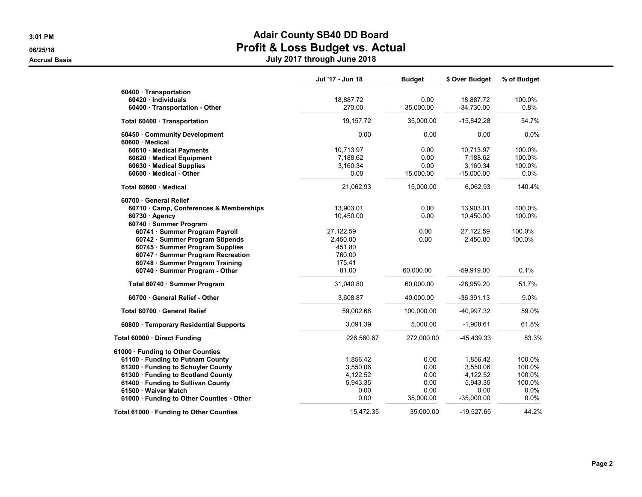|                                                     | Jul '17 - Jun 18      | <b>Budget</b> | \$ Over Budget        | % of Budget      |
|-----------------------------------------------------|-----------------------|---------------|-----------------------|------------------|
| 60400 · Transportation<br>$60420 \cdot$ Individuals | 18,887.72             | 0.00          | 18,887.72             | 100.0%           |
| 60400 · Transportation - Other                      | 270.00                | 35,000.00     | $-34,730.00$          | 0.8%             |
| Total 60400 Transportation                          | 19,157.72             | 35.000.00     | $-15,842.28$          | 54.7%            |
| 60450 Community Development                         | 0.00                  | 0.00          | 0.00                  | 0.0%             |
| 60600 Medical                                       |                       |               |                       |                  |
| 60610 · Medical Payments                            | 10,713.97<br>7,188.62 | 0.00<br>0.00  | 10,713.97<br>7,188.62 | 100.0%<br>100.0% |
| 60620 · Medical Equipment                           | 3,160.34              | 0.00          | 3,160.34              | 100.0%           |
| 60630 Medical Supplies                              |                       |               |                       |                  |
| 60600 Medical - Other                               | 0.00                  | 15,000.00     | $-15,000.00$          | 0.0%             |
| Total 60600 · Medical                               | 21,062.93             | 15,000.00     | 6,062.93              | 140.4%           |
| 60700 · General Relief                              |                       |               |                       |                  |
| 60710 Camp, Conferences & Memberships               | 13,903.01             | 0.00          | 13,903.01             | 100.0%           |
| $60730 \cdot$ Agency                                | 10,450.00             | 0.00          | 10,450.00             | 100.0%           |
| 60740 · Summer Program                              |                       |               |                       |                  |
| 60741 · Summer Program Payroll                      | 27,122.59             | 0.00          | 27,122.59             | 100.0%           |
| 60742 · Summer Program Stipends                     | 2,450.00              | 0.00          | 2,450.00              | 100.0%           |
| 60745 · Summer Program Supplies                     | 451.80                |               |                       |                  |
| 60747 · Summer Program Recreation                   | 760.00                |               |                       |                  |
| 60748 · Summer Program Training                     | 175.41                |               |                       |                  |
| 60740 · Summer Program - Other                      | 81.00                 | 60,000.00     | $-59,919.00$          | 0.1%             |
| Total 60740 · Summer Program                        | 31,040.80             | 60,000.00     | $-28,959.20$          | 51.7%            |
| 60700 General Relief - Other                        | 3,608.87              | 40,000.00     | $-36,391.13$          | 9.0%             |
| Total 60700 General Relief                          | 59,002.68             | 100,000.00    | $-40,997.32$          | 59.0%            |
| 60800 · Temporary Residential Supports              | 3,091.39              | 5,000.00      | $-1,908.61$           | 61.8%            |
| Total 60000 · Direct Funding                        | 226,560.67            | 272,000.00    | -45,439.33            | 83.3%            |
| 61000 · Funding to Other Counties                   |                       |               |                       |                  |
| 61100 · Funding to Putnam County                    | 1,856.42              | 0.00          | 1,856.42              | 100.0%           |
| 61200 · Funding to Schuyler County                  | 3,550.06              | 0.00          | 3,550.06              | 100.0%           |
| 61300 · Funding to Scotland County                  | 4,122.52              | 0.00          | 4,122.52              | 100.0%           |
| 61400 · Funding to Sullivan County                  | 5,943.35              | 0.00          | 5,943.35              | 100.0%           |
| 61500 Waiver Match                                  | 0.00                  | 0.00          | 0.00                  | 0.0%             |
| 61000 Funding to Other Counties - Other             | 0.00                  | 35,000.00     | $-35,000.00$          | 0.0%             |
| Total 61000 · Funding to Other Counties             | 15,472.35             | 35,000.00     | -19,527.65            | 44.2%            |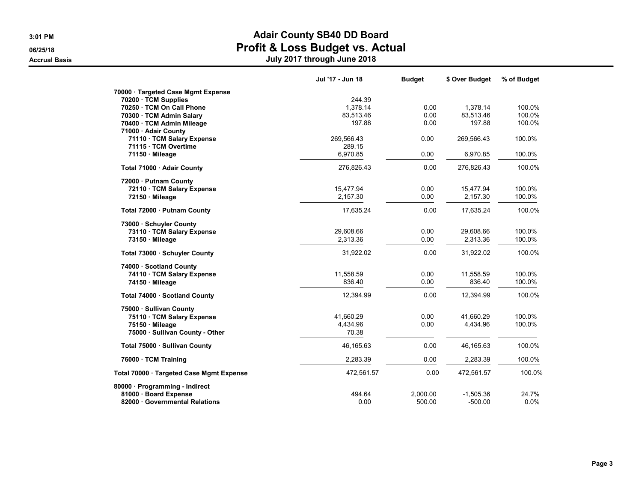|                                          | Jul '17 - Jun 18 | <b>Budget</b> | \$ Over Budget | % of Budget |
|------------------------------------------|------------------|---------------|----------------|-------------|
| 70000 · Targeted Case Mgmt Expense       |                  |               |                |             |
| 70200 · TCM Supplies                     | 244.39           |               |                |             |
| 70250 TCM On Call Phone                  | 1,378.14         | 0.00          | 1,378.14       | 100.0%      |
| 70300 · TCM Admin Salary                 | 83,513.46        | 0.00          | 83,513.46      | 100.0%      |
| 70400 · TCM Admin Mileage                | 197.88           | 0.00          | 197.88         | 100.0%      |
| 71000 · Adair County                     |                  |               |                |             |
| 71110 · TCM Salary Expense               | 269,566.43       | 0.00          | 269,566.43     | 100.0%      |
| 71115 · TCM Overtime                     | 289.15           |               |                |             |
| 71150 Mileage                            | 6,970.85         | 0.00          | 6,970.85       | 100.0%      |
| Total 71000 · Adair County               | 276,826.43       | 0.00          | 276,826.43     | 100.0%      |
| 72000 · Putnam County                    |                  |               |                |             |
| 72110 · TCM Salary Expense               | 15,477.94        | 0.00          | 15,477.94      | 100.0%      |
| 72150 Mileage                            | 2,157.30         | 0.00          | 2,157.30       | 100.0%      |
| Total 72000 · Putnam County              | 17,635.24        | 0.00          | 17.635.24      | 100.0%      |
| 73000 Schuyler County                    |                  |               |                |             |
| 73110 · TCM Salary Expense               | 29,608.66        | 0.00          | 29.608.66      | 100.0%      |
| 73150 Mileage                            | 2,313.36         | 0.00          | 2,313.36       | 100.0%      |
| Total 73000 · Schuyler County            | 31,922.02        | 0.00          | 31,922.02      | 100.0%      |
| 74000 · Scotland County                  |                  |               |                |             |
| 74110 · TCM Salary Expense               | 11,558.59        | 0.00          | 11,558.59      | 100.0%      |
| 74150 · Mileage                          | 836.40           | 0.00          | 836.40         | 100.0%      |
| Total 74000 · Scotland County            | 12,394.99        | 0.00          | 12,394.99      | 100.0%      |
| 75000 · Sullivan County                  |                  |               |                |             |
| 75110 · TCM Salary Expense               | 41,660.29        | 0.00          | 41,660.29      | 100.0%      |
| 75150 Mileage                            | 4,434.96         | 0.00          | 4,434.96       | 100.0%      |
| 75000 · Sullivan County - Other          | 70.38            |               |                |             |
| Total 75000 · Sullivan County            | 46,165.63        | 0.00          | 46,165.63      | 100.0%      |
| 76000 · TCM Training                     | 2,283.39         | 0.00          | 2,283.39       | 100.0%      |
| Total 70000 · Targeted Case Mgmt Expense | 472,561.57       | 0.00          | 472,561.57     | 100.0%      |
| 80000 Programming - Indirect             |                  |               |                |             |
| 81000 · Board Expense                    | 494.64           | 2,000.00      | $-1,505.36$    | 24.7%       |
| 82000 Governmental Relations             | 0.00             | 500.00        | $-500.00$      | 0.0%        |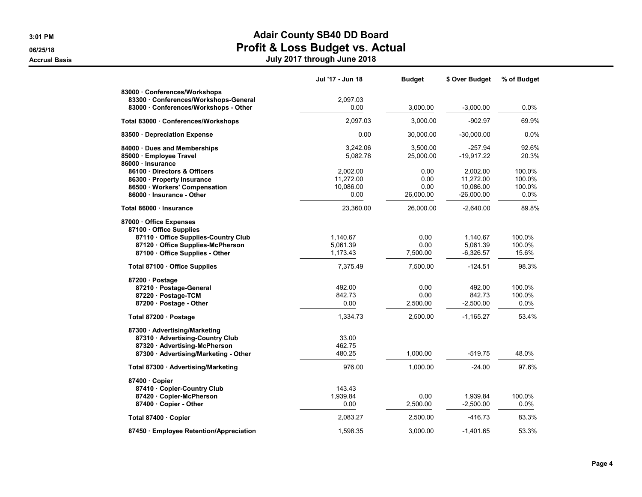|                                                                                                                                                          | Jul '17 - Jun 18                           | <b>Budget</b>                     | \$ Over Budget                                     | % of Budget                           |
|----------------------------------------------------------------------------------------------------------------------------------------------------------|--------------------------------------------|-----------------------------------|----------------------------------------------------|---------------------------------------|
| 83000 Conferences/Workshops<br>83300 Conferences/Workshops-General<br>83000 Conferences/Workshops - Other                                                | 2,097.03<br>0.00                           | 3,000.00                          | $-3.000.00$                                        | 0.0%                                  |
| Total 83000 · Conferences/Workshops                                                                                                                      | 2.097.03                                   | 3,000.00                          | $-902.97$                                          | 69.9%                                 |
| 83500 Depreciation Expense                                                                                                                               | 0.00                                       | 30,000.00                         | $-30,000.00$                                       | 0.0%                                  |
| 84000 Dues and Memberships<br>85000 · Employee Travel<br>86000 · Insurance                                                                               | 3,242.06<br>5,082.78                       | 3,500.00<br>25,000.00             | $-257.94$<br>$-19,917.22$                          | 92.6%<br>20.3%                        |
| 86100 Directors & Officers<br>86300 · Property Insurance<br>86500 · Workers' Compensation<br>86000 Insurance - Other                                     | 2,002.00<br>11,272.00<br>10,086.00<br>0.00 | 0.00<br>0.00<br>0.00<br>26,000.00 | 2,002.00<br>11,272.00<br>10,086.00<br>$-26,000.00$ | 100.0%<br>100.0%<br>100.0%<br>$0.0\%$ |
| Total 86000 · Insurance                                                                                                                                  | 23,360.00                                  | 26,000.00                         | $-2,640.00$                                        | 89.8%                                 |
| 87000 Office Expenses<br>87100 Office Supplies<br>87110 Office Supplies-Country Club<br>87120 Office Supplies-McPherson<br>87100 Office Supplies - Other | 1,140.67<br>5,061.39<br>1,173.43           | 0.00<br>0.00<br>7,500.00          | 1,140.67<br>5,061.39<br>$-6.326.57$                | 100.0%<br>100.0%<br>15.6%             |
| Total 87100 · Office Supplies                                                                                                                            | 7,375.49                                   | 7,500.00                          | $-124.51$                                          | 98.3%                                 |
| 87200 · Postage<br>87210 · Postage-General<br>87220 · Postage-TCM<br>87200 · Postage - Other                                                             | 492.00<br>842.73<br>0.00                   | 0.00<br>0.00<br>2,500.00          | 492.00<br>842.73<br>$-2,500.00$                    | 100.0%<br>100.0%<br>0.0%              |
| Total 87200 · Postage                                                                                                                                    | 1,334.73                                   | 2,500.00                          | $-1,165.27$                                        | 53.4%                                 |
| 87300 Advertising/Marketing<br>87310 · Advertising-Country Club<br>87320 · Advertising-McPherson<br>87300 · Advertising/Marketing - Other                | 33.00<br>462.75<br>480.25                  | 1,000.00                          | $-519.75$                                          | 48.0%                                 |
| Total 87300 · Advertising/Marketing                                                                                                                      | 976.00                                     | 1,000.00                          | $-24.00$                                           | 97.6%                                 |
| 87400 Copier<br>87410 Copier-Country Club<br>87420 Copier-McPherson<br>87400 Copier - Other                                                              | 143.43<br>1,939.84<br>0.00                 | 0.00<br>2,500.00                  | 1,939.84<br>$-2,500.00$                            | 100.0%<br>$0.0\%$                     |
| Total 87400 Copier                                                                                                                                       | 2,083.27                                   | 2,500.00                          | $-416.73$                                          | 83.3%                                 |
| 87450 · Employee Retention/Appreciation                                                                                                                  | 1,598.35                                   | 3,000.00                          | $-1,401.65$                                        | 53.3%                                 |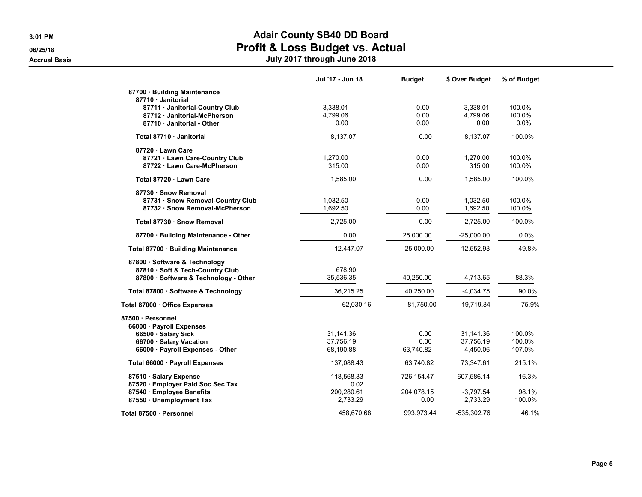|                                                               | Jul '17 - Jun 18 | <b>Budget</b> | \$ Over Budget | % of Budget |
|---------------------------------------------------------------|------------------|---------------|----------------|-------------|
| 87700 · Building Maintenance                                  |                  |               |                |             |
| 87710 Janitorial                                              | 3,338.01         | 0.00          | 3,338.01       | 100.0%      |
| 87711 · Janitorial-Country Club<br>87712 Janitorial-McPherson | 4,799.06         | 0.00          | 4,799.06       | 100.0%      |
| 87710 Janitorial - Other                                      | 0.00             | 0.00          | 0.00           | 0.0%        |
|                                                               |                  |               |                |             |
| Total 87710 Janitorial                                        | 8,137.07         | 0.00          | 8,137.07       | 100.0%      |
| 87720 Lawn Care                                               |                  |               |                |             |
| 87721 · Lawn Care-Country Club                                | 1,270.00         | 0.00          | 1,270.00       | 100.0%      |
| 87722 · Lawn Care-McPherson                                   | 315.00           | 0.00          | 315.00         | 100.0%      |
| Total 87720 Lawn Care                                         | 1,585.00         | 0.00          | 1,585.00       | 100.0%      |
| 87730 · Snow Removal                                          |                  |               |                |             |
| 87731 · Snow Removal-Country Club                             | 1,032.50         | 0.00          | 1,032.50       | 100.0%      |
| 87732 · Snow Removal-McPherson                                | 1,692.50         | 0.00          | 1,692.50       | 100.0%      |
| Total 87730 · Snow Removal                                    | 2.725.00         | 0.00          | 2,725.00       | 100.0%      |
| 87700 · Building Maintenance - Other                          | 0.00             | 25,000.00     | $-25,000.00$   | 0.0%        |
| Total 87700 · Building Maintenance                            | 12,447.07        | 25,000.00     | -12,552.93     | 49.8%       |
| 87800 · Software & Technology                                 |                  |               |                |             |
| 87810 · Soft & Tech-Country Club                              | 678.90           |               |                |             |
| 87800 · Software & Technology - Other                         | 35,536.35        | 40.250.00     | $-4,713.65$    | 88.3%       |
| Total 87800 · Software & Technology                           | 36,215.25        | 40,250.00     | $-4,034.75$    | 90.0%       |
| Total 87000 · Office Expenses                                 | 62,030.16        | 81,750.00     | $-19,719.84$   | 75.9%       |
| 87500 · Personnel                                             |                  |               |                |             |
| 66000 · Payroll Expenses                                      |                  |               |                |             |
| 66500 · Salary Sick                                           | 31,141.36        | 0.00          | 31,141.36      | 100.0%      |
| 66700 · Salary Vacation                                       | 37.756.19        | 0.00          | 37.756.19      | 100.0%      |
| 66000 · Payroll Expenses - Other                              | 68,190.88        | 63,740.82     | 4,450.06       | 107.0%      |
| Total 66000 · Payroll Expenses                                | 137,088.43       | 63,740.82     | 73,347.61      | 215.1%      |
| 87510 · Salary Expense                                        | 118,568.33       | 726,154.47    | $-607,586.14$  | 16.3%       |
| 87520 · Employer Paid Soc Sec Tax                             | 0.02             |               |                |             |
| 87540 · Employee Benefits                                     | 200,280.61       | 204,078.15    | $-3,797.54$    | 98.1%       |
| 87550 · Unemployment Tax                                      | 2,733.29         | 0.00          | 2,733.29       | 100.0%      |
| Total 87500 · Personnel                                       | 458,670.68       | 993,973.44    | -535,302.76    | 46.1%       |